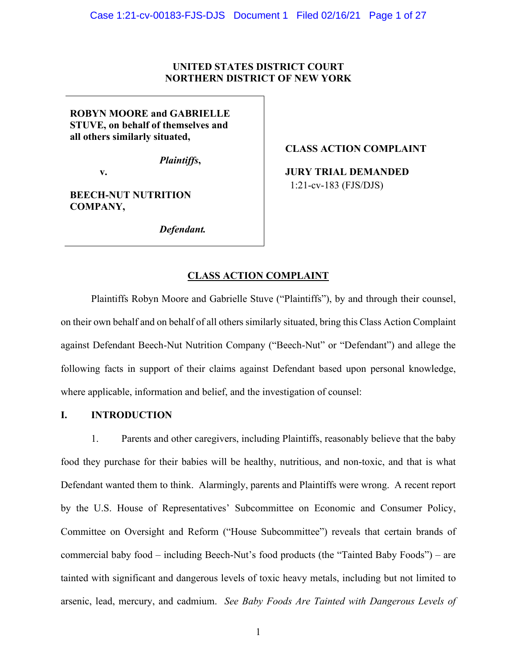# **UNITED STATES DISTRICT COURT NORTHERN DISTRICT OF NEW YORK**

**ROBYN MOORE and GABRIELLE STUVE, on behalf of themselves and all others similarly situated,**

*Plaintiffs***,** 

**v.** 

**BEECH-NUT NUTRITION COMPANY,**

*Defendant.*

## **CLASS ACTION COMPLAINT**

**JURY TRIAL DEMANDED** 1:21-cv-183 (FJS/DJS)

# **CLASS ACTION COMPLAINT**

Plaintiffs Robyn Moore and Gabrielle Stuve ("Plaintiffs"), by and through their counsel, on their own behalf and on behalf of all others similarly situated, bring this Class Action Complaint against Defendant Beech-Nut Nutrition Company ("Beech-Nut" or "Defendant") and allege the following facts in support of their claims against Defendant based upon personal knowledge, where applicable, information and belief, and the investigation of counsel:

## **I. INTRODUCTION**

1. Parents and other caregivers, including Plaintiffs, reasonably believe that the baby food they purchase for their babies will be healthy, nutritious, and non-toxic, and that is what Defendant wanted them to think. Alarmingly, parents and Plaintiffs were wrong. A recent report by the U.S. House of Representatives' Subcommittee on Economic and Consumer Policy, Committee on Oversight and Reform ("House Subcommittee") reveals that certain brands of commercial baby food – including Beech-Nut's food products (the "Tainted Baby Foods") – are tainted with significant and dangerous levels of toxic heavy metals, including but not limited to arsenic, lead, mercury, and cadmium. *See Baby Foods Are Tainted with Dangerous Levels of*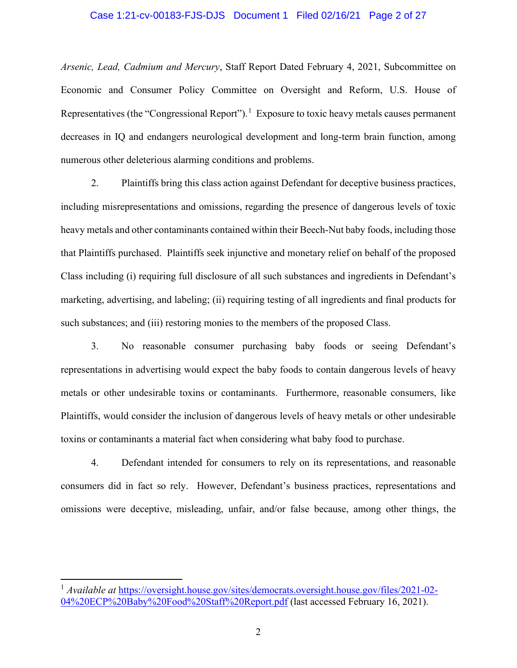#### Case 1:21-cv-00183-FJS-DJS Document 1 Filed 02/16/21 Page 2 of 27

*Arsenic, Lead, Cadmium and Mercury*, Staff Report Dated February 4, 2021, Subcommittee on Economic and Consumer Policy Committee on Oversight and Reform, U.S. House of Representatives (the "Congressional Report").<sup>[1](#page-1-0)</sup> Exposure to toxic heavy metals causes permanent decreases in IQ and endangers neurological development and long-term brain function, among numerous other deleterious alarming conditions and problems.

2. Plaintiffs bring this class action against Defendant for deceptive business practices, including misrepresentations and omissions, regarding the presence of dangerous levels of toxic heavy metals and other contaminants contained within their Beech-Nut baby foods, including those that Plaintiffs purchased. Plaintiffs seek injunctive and monetary relief on behalf of the proposed Class including (i) requiring full disclosure of all such substances and ingredients in Defendant's marketing, advertising, and labeling; (ii) requiring testing of all ingredients and final products for such substances; and (iii) restoring monies to the members of the proposed Class.

3. No reasonable consumer purchasing baby foods or seeing Defendant's representations in advertising would expect the baby foods to contain dangerous levels of heavy metals or other undesirable toxins or contaminants. Furthermore, reasonable consumers, like Plaintiffs, would consider the inclusion of dangerous levels of heavy metals or other undesirable toxins or contaminants a material fact when considering what baby food to purchase.

4. Defendant intended for consumers to rely on its representations, and reasonable consumers did in fact so rely. However, Defendant's business practices, representations and omissions were deceptive, misleading, unfair, and/or false because, among other things, the

<span id="page-1-0"></span><sup>&</sup>lt;sup>1</sup> *Available at* [https://oversight.house.gov/sites/democrats.oversight.house.gov/files/2021-02-](https://oversight.house.gov/sites/democrats.oversight.house.gov/files/2021-02-04%20ECP%20Baby%20Food%20Staff%20Report.pdf) [04%20ECP%20Baby%20Food%20Staff%20Report.pdf](https://oversight.house.gov/sites/democrats.oversight.house.gov/files/2021-02-04%20ECP%20Baby%20Food%20Staff%20Report.pdf) (last accessed February 16, 2021).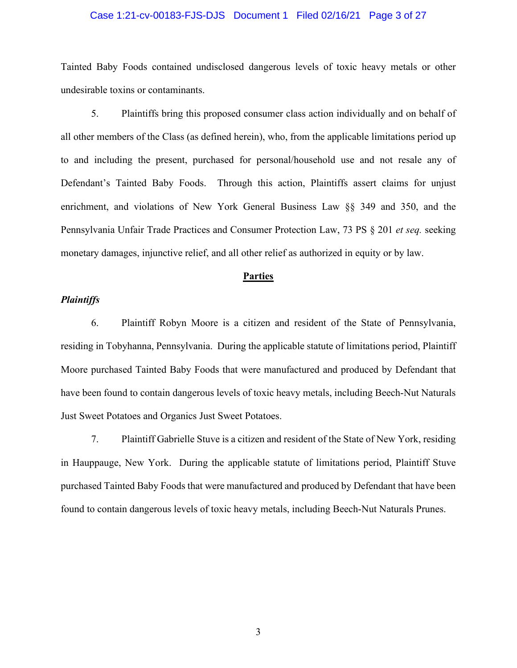### Case 1:21-cv-00183-FJS-DJS Document 1 Filed 02/16/21 Page 3 of 27

Tainted Baby Foods contained undisclosed dangerous levels of toxic heavy metals or other undesirable toxins or contaminants.

5. Plaintiffs bring this proposed consumer class action individually and on behalf of all other members of the Class (as defined herein), who, from the applicable limitations period up to and including the present, purchased for personal/household use and not resale any of Defendant's Tainted Baby Foods. Through this action, Plaintiffs assert claims for unjust enrichment, and violations of New York General Business Law §§ 349 and 350, and the Pennsylvania Unfair Trade Practices and Consumer Protection Law, 73 PS § 201 *et seq.* seeking monetary damages, injunctive relief, and all other relief as authorized in equity or by law.

#### **Parties**

## *Plaintiffs*

6. Plaintiff Robyn Moore is a citizen and resident of the State of Pennsylvania, residing in Tobyhanna, Pennsylvania. During the applicable statute of limitations period, Plaintiff Moore purchased Tainted Baby Foods that were manufactured and produced by Defendant that have been found to contain dangerous levels of toxic heavy metals, including Beech-Nut Naturals Just Sweet Potatoes and Organics Just Sweet Potatoes.

7. Plaintiff Gabrielle Stuve is a citizen and resident of the State of New York, residing in Hauppauge, New York. During the applicable statute of limitations period, Plaintiff Stuve purchased Tainted Baby Foods that were manufactured and produced by Defendant that have been found to contain dangerous levels of toxic heavy metals, including Beech-Nut Naturals Prunes.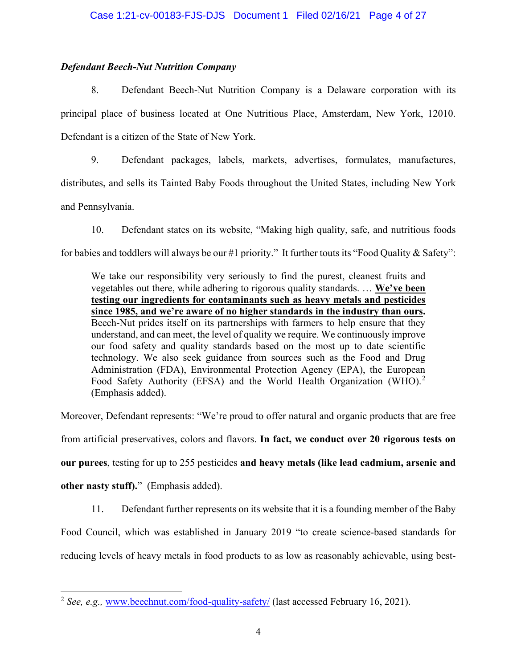# *Defendant Beech-Nut Nutrition Company*

8. Defendant Beech-Nut Nutrition Company is a Delaware corporation with its principal place of business located at One Nutritious Place, Amsterdam, New York, 12010. Defendant is a citizen of the State of New York.

9. Defendant packages, labels, markets, advertises, formulates, manufactures, distributes, and sells its Tainted Baby Foods throughout the United States, including New York and Pennsylvania.

10. Defendant states on its website, "Making high quality, safe, and nutritious foods for babies and toddlers will always be our #1 priority." It further touts its "Food Quality & Safety":

We take our responsibility very seriously to find the purest, cleanest fruits and vegetables out there, while adhering to rigorous quality standards. … **We've been testing our ingredients for contaminants such as heavy metals and pesticides since 1985, and we're aware of no higher standards in the industry than ours.** Beech-Nut prides itself on its partnerships with farmers to help ensure that they understand, and can meet, the level of quality we require. We continuously improve our food safety and quality standards based on the most up to date scientific technology. We also seek guidance from sources such as the Food and Drug Administration (FDA), Environmental Protection Agency (EPA), the European Food Safety Authority (EFSA) and the World Health Organization (WHO).<sup>[2](#page-3-0)</sup> (Emphasis added).

Moreover, Defendant represents: "We're proud to offer natural and organic products that are free from artificial preservatives, colors and flavors. **In fact, we conduct over 20 rigorous tests on our purees**, testing for up to 255 pesticides **and heavy metals (like lead cadmium, arsenic and other nasty stuff).**"(Emphasis added).

11. Defendant further represents on its website that it is a founding member of the Baby

Food Council, which was established in January 2019 "to create science-based standards for

reducing levels of heavy metals in food products to as low as reasonably achievable, using best-

<span id="page-3-0"></span><sup>&</sup>lt;sup>2</sup> See. e.g., [www.beechnut.com/food-quality-safety/](http://www.beechnut.com/food-quality-safety/) (last accessed February 16, 2021).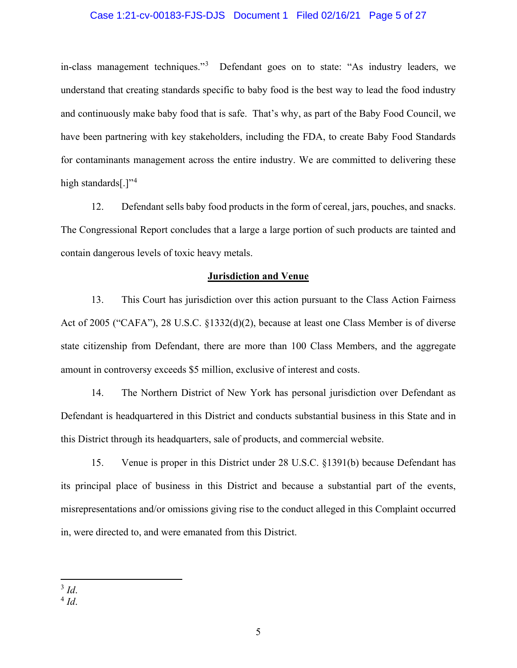## Case 1:21-cv-00183-FJS-DJS Document 1 Filed 02/16/21 Page 5 of 27

in-class management techniques."<sup>[3](#page-4-0)</sup> Defendant goes on to state: "As industry leaders, we understand that creating standards specific to baby food is the best way to lead the food industry and continuously make baby food that is safe. That's why, as part of the Baby Food Council, we have been partnering with key stakeholders, including the FDA, to create Baby Food Standards for contaminants management across the entire industry. We are committed to delivering these high standards[ $.^{3}$ ]"<sup>[4](#page-4-1)</sup>

12. Defendant sells baby food products in the form of cereal, jars, pouches, and snacks. The Congressional Report concludes that a large a large portion of such products are tainted and contain dangerous levels of toxic heavy metals.

#### **Jurisdiction and Venue**

13. This Court has jurisdiction over this action pursuant to the Class Action Fairness Act of 2005 ("CAFA"), 28 U.S.C. §1332(d)(2), because at least one Class Member is of diverse state citizenship from Defendant, there are more than 100 Class Members, and the aggregate amount in controversy exceeds \$5 million, exclusive of interest and costs.

14. The Northern District of New York has personal jurisdiction over Defendant as Defendant is headquartered in this District and conducts substantial business in this State and in this District through its headquarters, sale of products, and commercial website.

15. Venue is proper in this District under 28 U.S.C. §1391(b) because Defendant has its principal place of business in this District and because a substantial part of the events, misrepresentations and/or omissions giving rise to the conduct alleged in this Complaint occurred in, were directed to, and were emanated from this District.

<span id="page-4-0"></span><sup>3</sup> *Id*.

<span id="page-4-1"></span><sup>4</sup> *Id*.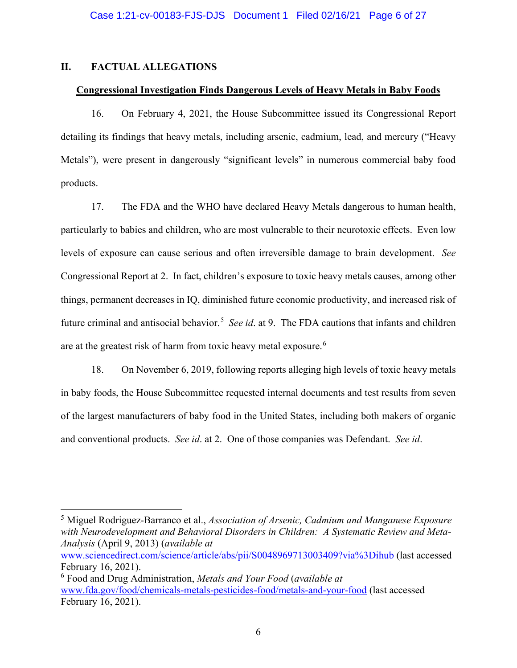# **II. FACTUAL ALLEGATIONS**

# **Congressional Investigation Finds Dangerous Levels of Heavy Metals in Baby Foods**

16. On February 4, 2021, the House Subcommittee issued its Congressional Report detailing its findings that heavy metals, including arsenic, cadmium, lead, and mercury ("Heavy Metals"), were present in dangerously "significant levels" in numerous commercial baby food products.

17. The FDA and the WHO have declared Heavy Metals dangerous to human health, particularly to babies and children, who are most vulnerable to their neurotoxic effects. Even low levels of exposure can cause serious and often irreversible damage to brain development. *See* Congressional Report at 2. In fact, children's exposure to toxic heavy metals causes, among other things, permanent decreases in IQ, diminished future economic productivity, and increased risk of future criminal and antisocial behavior.<sup>[5](#page-5-0)</sup> See id. at 9. The FDA cautions that infants and children are at the greatest risk of harm from toxic heavy metal exposure.<sup>[6](#page-5-1)</sup>

18. On November 6, 2019, following reports alleging high levels of toxic heavy metals in baby foods, the House Subcommittee requested internal documents and test results from seven of the largest manufacturers of baby food in the United States, including both makers of organic and conventional products. *See id*. at 2. One of those companies was Defendant. *See id*.

<span id="page-5-0"></span><sup>5</sup> Miguel Rodriguez-Barranco et al., *Association of Arsenic, Cadmium and Manganese Exposure with Neurodevelopment and Behavioral Disorders in Children: A Systematic Review and Meta-Analysis* (April 9, 2013) (*available at* 

[www.sciencedirect.com/science/article/abs/pii/S0048969713003409?via%3Dihub](http://www.sciencedirect.com/science/article/abs/pii/S0048969713003409?via%3Dihub) (last accessed February 16, 2021).

<span id="page-5-1"></span><sup>6</sup> Food and Drug Administration, *Metals and Your Food* (*available at* [www.fda.gov/food/chemicals-metals-pesticides-food/metals-and-your-food](http://www.fda.gov/food/chemicals-metals-pesticides-food/metals-and-your-food) (last accessed February 16, 2021).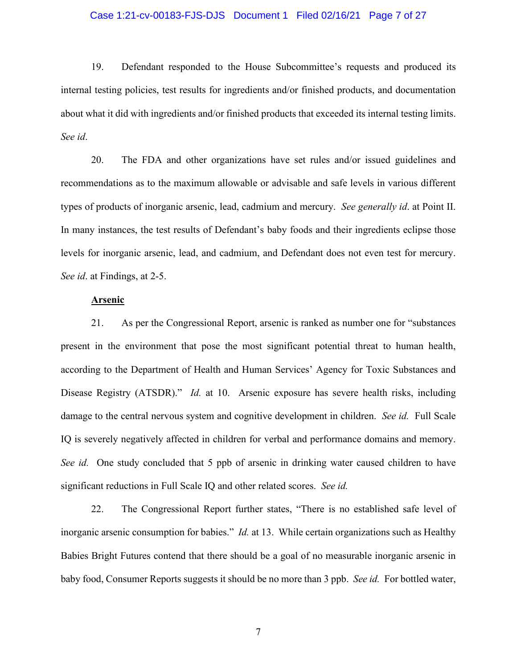#### Case 1:21-cv-00183-FJS-DJS Document 1 Filed 02/16/21 Page 7 of 27

19. Defendant responded to the House Subcommittee's requests and produced its internal testing policies, test results for ingredients and/or finished products, and documentation about what it did with ingredients and/or finished products that exceeded its internal testing limits. *See id*.

20. The FDA and other organizations have set rules and/or issued guidelines and recommendations as to the maximum allowable or advisable and safe levels in various different types of products of inorganic arsenic, lead, cadmium and mercury. *See generally id*. at Point II. In many instances, the test results of Defendant's baby foods and their ingredients eclipse those levels for inorganic arsenic, lead, and cadmium, and Defendant does not even test for mercury. *See id*. at Findings, at 2-5.

# **Arsenic**

21. As per the Congressional Report, arsenic is ranked as number one for "substances present in the environment that pose the most significant potential threat to human health, according to the Department of Health and Human Services' Agency for Toxic Substances and Disease Registry (ATSDR)." *Id.* at 10. Arsenic exposure has severe health risks, including damage to the central nervous system and cognitive development in children. *See id.* Full Scale IQ is severely negatively affected in children for verbal and performance domains and memory. *See id.* One study concluded that 5 ppb of arsenic in drinking water caused children to have significant reductions in Full Scale IQ and other related scores. *See id.*

22. The Congressional Report further states, "There is no established safe level of inorganic arsenic consumption for babies." *Id.* at 13. While certain organizations such as Healthy Babies Bright Futures contend that there should be a goal of no measurable inorganic arsenic in baby food, Consumer Reports suggests it should be no more than 3 ppb. *See id.* For bottled water,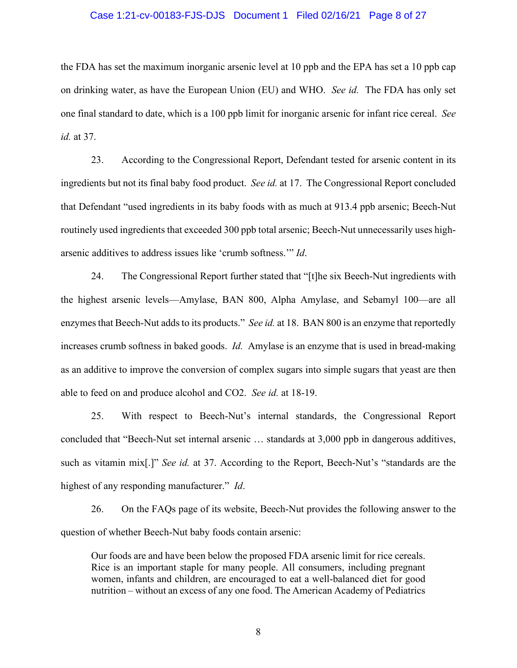#### Case 1:21-cv-00183-FJS-DJS Document 1 Filed 02/16/21 Page 8 of 27

the FDA has set the maximum inorganic arsenic level at 10 ppb and the EPA has set a 10 ppb cap on drinking water, as have the European Union (EU) and WHO. *See id.* The FDA has only set one final standard to date, which is a 100 ppb limit for inorganic arsenic for infant rice cereal. *See id.* at 37.

23. According to the Congressional Report, Defendant tested for arsenic content in its ingredients but not its final baby food product. *See id.* at 17. The Congressional Report concluded that Defendant "used ingredients in its baby foods with as much at 913.4 ppb arsenic; Beech-Nut routinely used ingredients that exceeded 300 ppb total arsenic; Beech-Nut unnecessarily uses higharsenic additives to address issues like 'crumb softness.'" *Id*.

24. The Congressional Report further stated that "[t]he six Beech-Nut ingredients with the highest arsenic levels—Amylase, BAN 800, Alpha Amylase, and Sebamyl 100—are all enzymes that Beech-Nut adds to its products." *See id.* at 18. BAN 800 is an enzyme that reportedly increases crumb softness in baked goods. *Id.* Amylase is an enzyme that is used in bread-making as an additive to improve the conversion of complex sugars into simple sugars that yeast are then able to feed on and produce alcohol and CO2. *See id.* at 18-19.

25. With respect to Beech-Nut's internal standards, the Congressional Report concluded that "Beech-Nut set internal arsenic … standards at 3,000 ppb in dangerous additives, such as vitamin mix[.]" *See id.* at 37. According to the Report, Beech-Nut's "standards are the highest of any responding manufacturer." *Id*.

26. On the FAQs page of its website, Beech-Nut provides the following answer to the question of whether Beech-Nut baby foods contain arsenic:

Our foods are and have been below the proposed FDA arsenic limit for rice cereals. Rice is an important staple for many people. All consumers, including pregnant women, infants and children, are encouraged to eat a well-balanced diet for good nutrition – without an excess of any one food. The American Academy of Pediatrics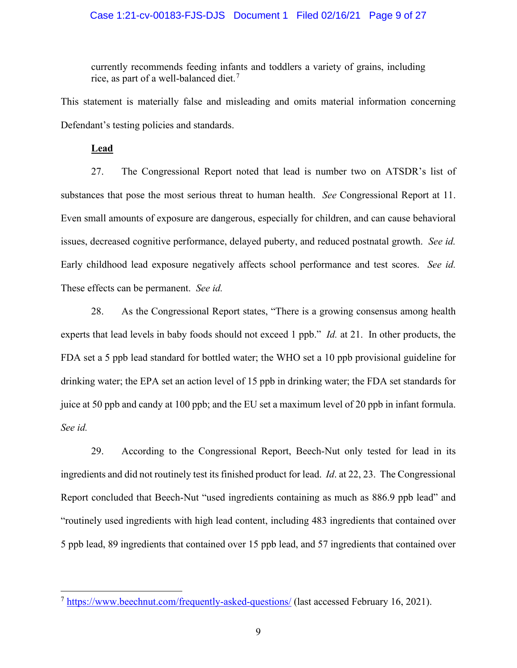## Case 1:21-cv-00183-FJS-DJS Document 1 Filed 02/16/21 Page 9 of 27

currently recommends feeding infants and toddlers a variety of grains, including rice, as part of a well-balanced diet.<sup>[7](#page-8-0)</sup>

This statement is materially false and misleading and omits material information concerning Defendant's testing policies and standards.

**Lead**

27. The Congressional Report noted that lead is number two on ATSDR's list of substances that pose the most serious threat to human health. *See* Congressional Report at 11. Even small amounts of exposure are dangerous, especially for children, and can cause behavioral issues, decreased cognitive performance, delayed puberty, and reduced postnatal growth. *See id.*  Early childhood lead exposure negatively affects school performance and test scores. *See id.* These effects can be permanent. *See id.*

28. As the Congressional Report states, "There is a growing consensus among health experts that lead levels in baby foods should not exceed 1 ppb." *Id.* at 21. In other products, the FDA set a 5 ppb lead standard for bottled water; the WHO set a 10 ppb provisional guideline for drinking water; the EPA set an action level of 15 ppb in drinking water; the FDA set standards for juice at 50 ppb and candy at 100 ppb; and the EU set a maximum level of 20 ppb in infant formula. *See id.*

29. According to the Congressional Report, Beech-Nut only tested for lead in its ingredients and did not routinely test its finished product for lead. *Id*. at 22, 23. The Congressional Report concluded that Beech-Nut "used ingredients containing as much as 886.9 ppb lead" and "routinely used ingredients with high lead content, including 483 ingredients that contained over 5 ppb lead, 89 ingredients that contained over 15 ppb lead, and 57 ingredients that contained over

<span id="page-8-0"></span><sup>7</sup> <https://www.beechnut.com/frequently-asked-questions/> (last accessed February 16, 2021).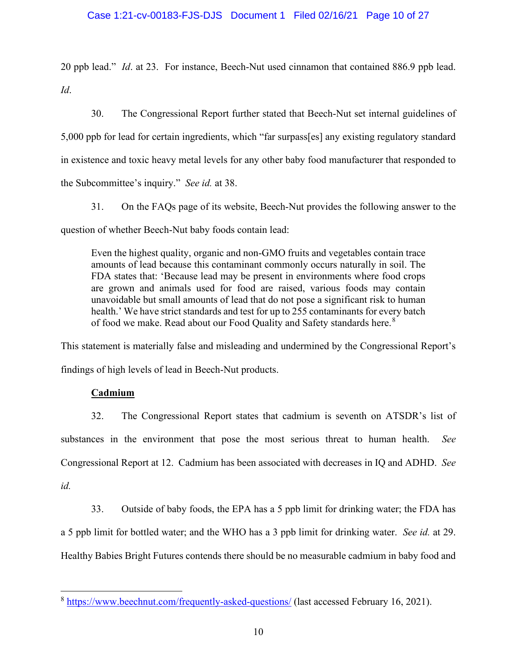## Case 1:21-cv-00183-FJS-DJS Document 1 Filed 02/16/21 Page 10 of 27

20 ppb lead." *Id*. at 23. For instance, Beech-Nut used cinnamon that contained 886.9 ppb lead. *Id*.

30. The Congressional Report further stated that Beech-Nut set internal guidelines of 5,000 ppb for lead for certain ingredients, which "far surpass[es] any existing regulatory standard in existence and toxic heavy metal levels for any other baby food manufacturer that responded to the Subcommittee's inquiry." *See id.* at 38.

31. On the FAQs page of its website, Beech-Nut provides the following answer to the question of whether Beech-Nut baby foods contain lead:

Even the highest quality, organic and non-GMO fruits and vegetables contain trace amounts of lead because this contaminant commonly occurs naturally in soil. The FDA states that: 'Because lead may be present in environments where food crops are grown and animals used for food are raised, various foods may contain unavoidable but small amounts of lead that do not pose a significant risk to human health.' We have strict standards and test for up to 255 contaminants for every batch of food we make. Read about our Food Quality and Safety standards here.<sup>[8](#page-9-0)</sup>

This statement is materially false and misleading and undermined by the Congressional Report's findings of high levels of lead in Beech-Nut products.

# **Cadmium**

32. The Congressional Report states that cadmium is seventh on ATSDR's list of substances in the environment that pose the most serious threat to human health. *See* Congressional Report at 12. Cadmium has been associated with decreases in IQ and ADHD. *See id.*

33. Outside of baby foods, the EPA has a 5 ppb limit for drinking water; the FDA has a 5 ppb limit for bottled water; and the WHO has a 3 ppb limit for drinking water. *See id.* at 29. Healthy Babies Bright Futures contends there should be no measurable cadmium in baby food and

<span id="page-9-0"></span><sup>8</sup> <https://www.beechnut.com/frequently-asked-questions/> (last accessed February 16, 2021).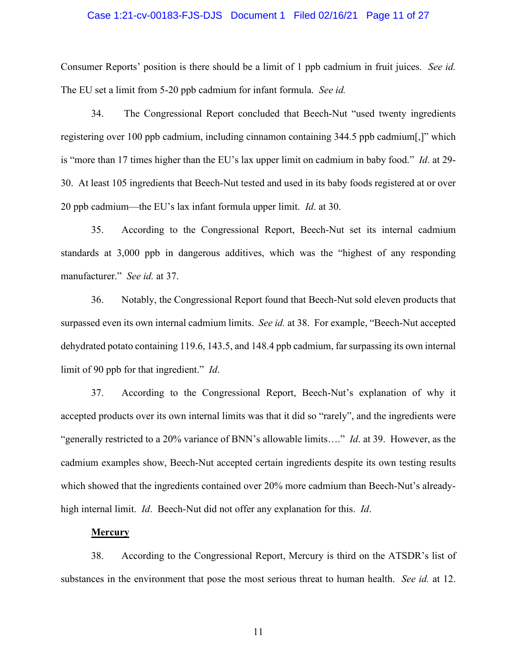#### Case 1:21-cv-00183-FJS-DJS Document 1 Filed 02/16/21 Page 11 of 27

Consumer Reports' position is there should be a limit of 1 ppb cadmium in fruit juices. *See id.*  The EU set a limit from 5-20 ppb cadmium for infant formula. *See id.*

34. The Congressional Report concluded that Beech-Nut "used twenty ingredients registering over 100 ppb cadmium, including cinnamon containing 344.5 ppb cadmium[,]" which is "more than 17 times higher than the EU's lax upper limit on cadmium in baby food." *Id*. at 29- 30. At least 105 ingredients that Beech-Nut tested and used in its baby foods registered at or over 20 ppb cadmium—the EU's lax infant formula upper limit. *Id*. at 30.

35. According to the Congressional Report, Beech-Nut set its internal cadmium standards at 3,000 ppb in dangerous additives, which was the "highest of any responding manufacturer." *See id.* at 37.

36. Notably, the Congressional Report found that Beech-Nut sold eleven products that surpassed even its own internal cadmium limits. *See id.* at 38. For example, "Beech-Nut accepted dehydrated potato containing 119.6, 143.5, and 148.4 ppb cadmium, far surpassing its own internal limit of 90 ppb for that ingredient." *Id*.

37. According to the Congressional Report, Beech-Nut's explanation of why it accepted products over its own internal limits was that it did so "rarely", and the ingredients were "generally restricted to a 20% variance of BNN's allowable limits…." *Id*. at 39. However, as the cadmium examples show, Beech-Nut accepted certain ingredients despite its own testing results which showed that the ingredients contained over 20% more cadmium than Beech-Nut's alreadyhigh internal limit. *Id*. Beech-Nut did not offer any explanation for this. *Id*.

### **Mercury**

38. According to the Congressional Report, Mercury is third on the ATSDR's list of substances in the environment that pose the most serious threat to human health. *See id.* at 12.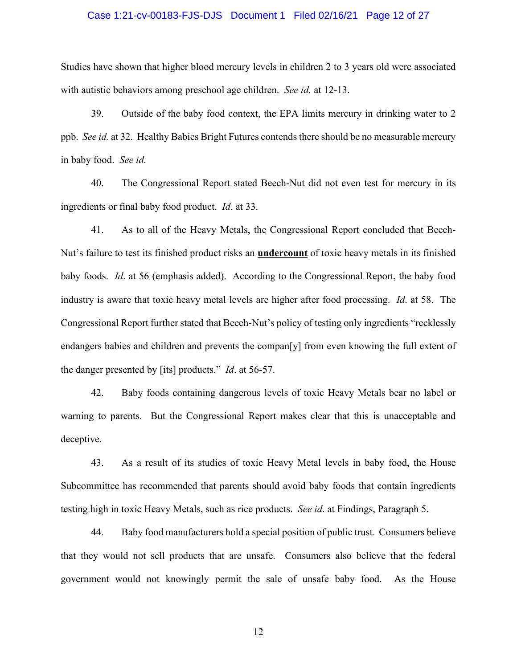#### Case 1:21-cv-00183-FJS-DJS Document 1 Filed 02/16/21 Page 12 of 27

Studies have shown that higher blood mercury levels in children 2 to 3 years old were associated with autistic behaviors among preschool age children. *See id.* at 12-13.

39. Outside of the baby food context, the EPA limits mercury in drinking water to 2 ppb. *See id.* at 32. Healthy Babies Bright Futures contends there should be no measurable mercury in baby food. *See id.*

40. The Congressional Report stated Beech-Nut did not even test for mercury in its ingredients or final baby food product. *Id*. at 33.

41. As to all of the Heavy Metals, the Congressional Report concluded that Beech-Nut's failure to test its finished product risks an **undercount** of toxic heavy metals in its finished baby foods. *Id*. at 56 (emphasis added). According to the Congressional Report, the baby food industry is aware that toxic heavy metal levels are higher after food processing. *Id*. at 58. The Congressional Report further stated that Beech-Nut's policy of testing only ingredients "recklessly endangers babies and children and prevents the compan[y] from even knowing the full extent of the danger presented by [its] products." *Id*. at 56-57.

42. Baby foods containing dangerous levels of toxic Heavy Metals bear no label or warning to parents. But the Congressional Report makes clear that this is unacceptable and deceptive.

43. As a result of its studies of toxic Heavy Metal levels in baby food, the House Subcommittee has recommended that parents should avoid baby foods that contain ingredients testing high in toxic Heavy Metals, such as rice products. *See id*. at Findings, Paragraph 5.

44. Baby food manufacturers hold a special position of public trust. Consumers believe that they would not sell products that are unsafe. Consumers also believe that the federal government would not knowingly permit the sale of unsafe baby food. As the House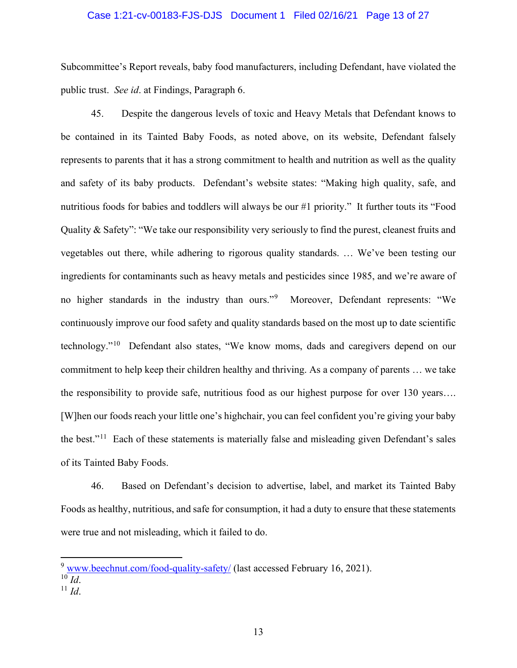## Case 1:21-cv-00183-FJS-DJS Document 1 Filed 02/16/21 Page 13 of 27

Subcommittee's Report reveals, baby food manufacturers, including Defendant, have violated the public trust. *See id*. at Findings, Paragraph 6.

45. Despite the dangerous levels of toxic and Heavy Metals that Defendant knows to be contained in its Tainted Baby Foods, as noted above, on its website, Defendant falsely represents to parents that it has a strong commitment to health and nutrition as well as the quality and safety of its baby products. Defendant's website states: "Making high quality, safe, and nutritious foods for babies and toddlers will always be our #1 priority." It further touts its "Food Quality & Safety": "We take our responsibility very seriously to find the purest, cleanest fruits and vegetables out there, while adhering to rigorous quality standards. … We've been testing our ingredients for contaminants such as heavy metals and pesticides since 1985, and we're aware of no higher standards in the industry than ours."[9](#page-12-0) Moreover, Defendant represents: "We continuously improve our food safety and quality standards based on the most up to date scientific technology."[10](#page-12-1) Defendant also states, "We know moms, dads and caregivers depend on our commitment to help keep their children healthy and thriving. As a company of parents … we take the responsibility to provide safe, nutritious food as our highest purpose for over 130 years…. [W]hen our foods reach your little one's highchair, you can feel confident you're giving your baby the best."[11](#page-12-2) Each of these statements is materially false and misleading given Defendant's sales of its Tainted Baby Foods.

46. Based on Defendant's decision to advertise, label, and market its Tainted Baby Foods as healthy, nutritious, and safe for consumption, it had a duty to ensure that these statements were true and not misleading, which it failed to do.

<span id="page-12-1"></span><span id="page-12-0"></span> $9$  [www.beechnut.com/food-quality-safety/](http://www.beechnut.com/food-quality-safety/) (last accessed February 16, 2021).  $10$   $\overline{Id}$ .

<span id="page-12-2"></span> $11$  *Id.*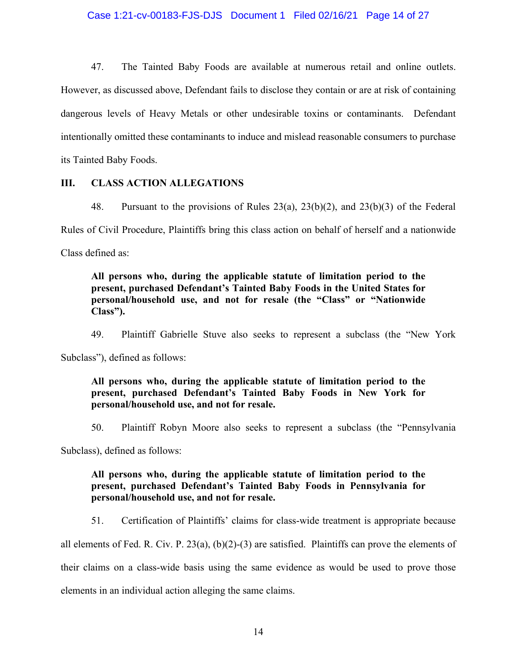## Case 1:21-cv-00183-FJS-DJS Document 1 Filed 02/16/21 Page 14 of 27

47. The Tainted Baby Foods are available at numerous retail and online outlets. However, as discussed above, Defendant fails to disclose they contain or are at risk of containing dangerous levels of Heavy Metals or other undesirable toxins or contaminants. Defendant intentionally omitted these contaminants to induce and mislead reasonable consumers to purchase its Tainted Baby Foods.

#### **III. CLASS ACTION ALLEGATIONS**

48. Pursuant to the provisions of Rules 23(a), 23(b)(2), and 23(b)(3) of the Federal Rules of Civil Procedure, Plaintiffs bring this class action on behalf of herself and a nationwide Class defined as:

**All persons who, during the applicable statute of limitation period to the present, purchased Defendant's Tainted Baby Foods in the United States for personal/household use, and not for resale (the "Class" or "Nationwide Class").**

49. Plaintiff Gabrielle Stuve also seeks to represent a subclass (the "New York

Subclass"), defined as follows:

# **All persons who, during the applicable statute of limitation period to the present, purchased Defendant's Tainted Baby Foods in New York for personal/household use, and not for resale.**

50. Plaintiff Robyn Moore also seeks to represent a subclass (the "Pennsylvania

Subclass), defined as follows:

# **All persons who, during the applicable statute of limitation period to the present, purchased Defendant's Tainted Baby Foods in Pennsylvania for personal/household use, and not for resale.**

51. Certification of Plaintiffs' claims for class-wide treatment is appropriate because

all elements of Fed. R. Civ. P. 23(a), (b)(2)-(3) are satisfied. Plaintiffs can prove the elements of their claims on a class-wide basis using the same evidence as would be used to prove those elements in an individual action alleging the same claims.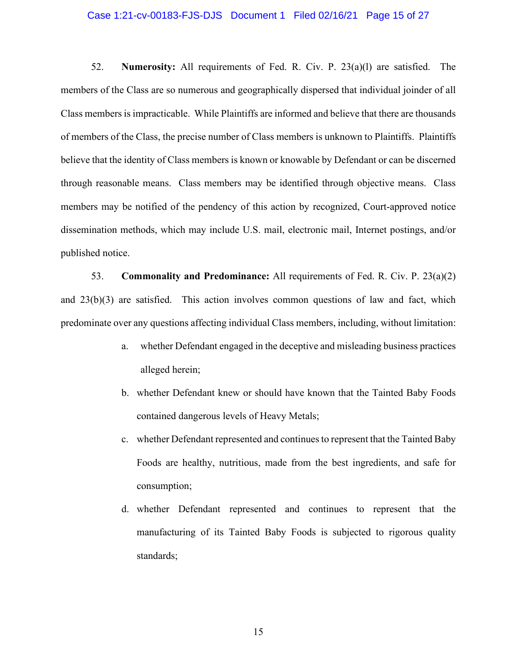#### Case 1:21-cv-00183-FJS-DJS Document 1 Filed 02/16/21 Page 15 of 27

52. **Numerosity:** All requirements of Fed. R. Civ. P. 23(a)(l) are satisfied. The members of the Class are so numerous and geographically dispersed that individual joinder of all Class members is impracticable. While Plaintiffs are informed and believe that there are thousands of members of the Class, the precise number of Class members is unknown to Plaintiffs. Plaintiffs believe that the identity of Class members is known or knowable by Defendant or can be discerned through reasonable means. Class members may be identified through objective means. Class members may be notified of the pendency of this action by recognized, Court-approved notice dissemination methods, which may include U.S. mail, electronic mail, Internet postings, and/or published notice.

53. **Commonality and Predominance:** All requirements of Fed. R. Civ. P. 23(a)(2) and 23(b)(3) are satisfied. This action involves common questions of law and fact, which predominate over any questions affecting individual Class members, including, without limitation:

- a. whether Defendant engaged in the deceptive and misleading business practices alleged herein;
- b. whether Defendant knew or should have known that the Tainted Baby Foods contained dangerous levels of Heavy Metals;
- c. whether Defendant represented and continues to represent that the Tainted Baby Foods are healthy, nutritious, made from the best ingredients, and safe for consumption;
- d. whether Defendant represented and continues to represent that the manufacturing of its Tainted Baby Foods is subjected to rigorous quality standards;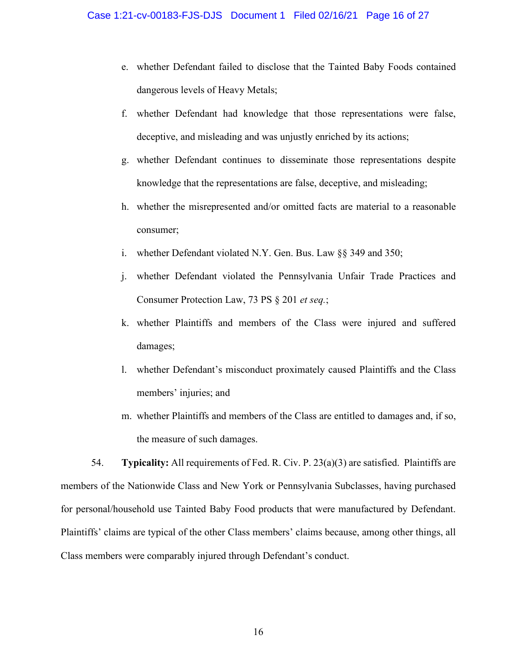- e. whether Defendant failed to disclose that the Tainted Baby Foods contained dangerous levels of Heavy Metals;
- f. whether Defendant had knowledge that those representations were false, deceptive, and misleading and was unjustly enriched by its actions;
- g. whether Defendant continues to disseminate those representations despite knowledge that the representations are false, deceptive, and misleading;
- h. whether the misrepresented and/or omitted facts are material to a reasonable consumer;
- i. whether Defendant violated N.Y. Gen. Bus. Law §§ 349 and 350;
- j. whether Defendant violated the Pennsylvania Unfair Trade Practices and Consumer Protection Law, 73 PS § 201 *et seq.*;
- k. whether Plaintiffs and members of the Class were injured and suffered damages;
- l. whether Defendant's misconduct proximately caused Plaintiffs and the Class members' injuries; and
- m. whether Plaintiffs and members of the Class are entitled to damages and, if so, the measure of such damages.

54. **Typicality:** All requirements of Fed. R. Civ. P. 23(a)(3) are satisfied. Plaintiffs are members of the Nationwide Class and New York or Pennsylvania Subclasses, having purchased for personal/household use Tainted Baby Food products that were manufactured by Defendant. Plaintiffs' claims are typical of the other Class members' claims because, among other things, all Class members were comparably injured through Defendant's conduct.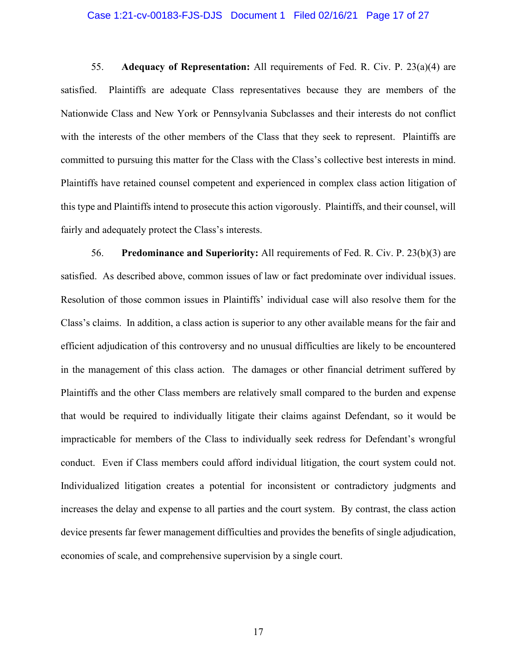#### Case 1:21-cv-00183-FJS-DJS Document 1 Filed 02/16/21 Page 17 of 27

55. **Adequacy of Representation:** All requirements of Fed. R. Civ. P. 23(a)(4) are satisfied. Plaintiffs are adequate Class representatives because they are members of the Nationwide Class and New York or Pennsylvania Subclasses and their interests do not conflict with the interests of the other members of the Class that they seek to represent. Plaintiffs are committed to pursuing this matter for the Class with the Class's collective best interests in mind. Plaintiffs have retained counsel competent and experienced in complex class action litigation of this type and Plaintiffs intend to prosecute this action vigorously. Plaintiffs, and their counsel, will fairly and adequately protect the Class's interests.

56. **Predominance and Superiority:** All requirements of Fed. R. Civ. P. 23(b)(3) are satisfied. As described above, common issues of law or fact predominate over individual issues. Resolution of those common issues in Plaintiffs' individual case will also resolve them for the Class's claims. In addition, a class action is superior to any other available means for the fair and efficient adjudication of this controversy and no unusual difficulties are likely to be encountered in the management of this class action. The damages or other financial detriment suffered by Plaintiffs and the other Class members are relatively small compared to the burden and expense that would be required to individually litigate their claims against Defendant, so it would be impracticable for members of the Class to individually seek redress for Defendant's wrongful conduct. Even if Class members could afford individual litigation, the court system could not. Individualized litigation creates a potential for inconsistent or contradictory judgments and increases the delay and expense to all parties and the court system. By contrast, the class action device presents far fewer management difficulties and provides the benefits of single adjudication, economies of scale, and comprehensive supervision by a single court.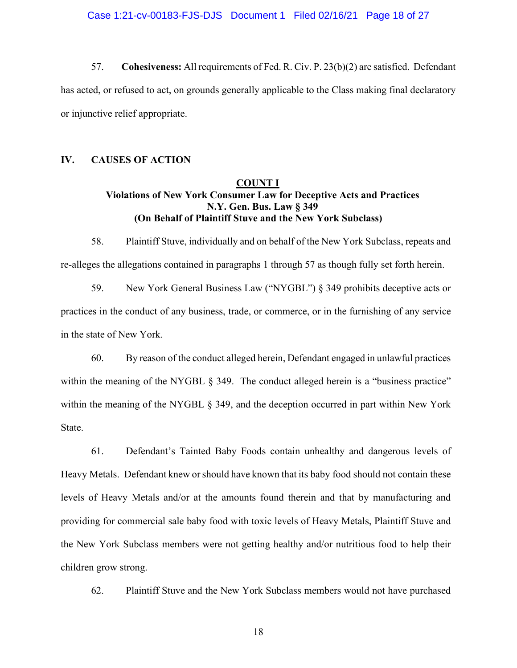Case 1:21-cv-00183-FJS-DJS Document 1 Filed 02/16/21 Page 18 of 27

57. **Cohesiveness:** All requirements of Fed. R. Civ. P. 23(b)(2) are satisfied. Defendant has acted, or refused to act, on grounds generally applicable to the Class making final declaratory or injunctive relief appropriate.

# **IV. CAUSES OF ACTION**

# **COUNT I Violations of New York Consumer Law for Deceptive Acts and Practices N.Y. Gen. Bus. Law § 349 (On Behalf of Plaintiff Stuve and the New York Subclass)**

58. Plaintiff Stuve, individually and on behalf of the New York Subclass, repeats and re-alleges the allegations contained in paragraphs 1 through 57 as though fully set forth herein.

59. New York General Business Law ("NYGBL") § 349 prohibits deceptive acts or practices in the conduct of any business, trade, or commerce, or in the furnishing of any service in the state of New York.

60. By reason of the conduct alleged herein, Defendant engaged in unlawful practices within the meaning of the NYGBL  $\S$  349. The conduct alleged herein is a "business practice" within the meaning of the NYGBL § 349, and the deception occurred in part within New York State.

61. Defendant's Tainted Baby Foods contain unhealthy and dangerous levels of Heavy Metals. Defendant knew orshould have known that its baby food should not contain these levels of Heavy Metals and/or at the amounts found therein and that by manufacturing and providing for commercial sale baby food with toxic levels of Heavy Metals, Plaintiff Stuve and the New York Subclass members were not getting healthy and/or nutritious food to help their children grow strong.

62. Plaintiff Stuve and the New York Subclass members would not have purchased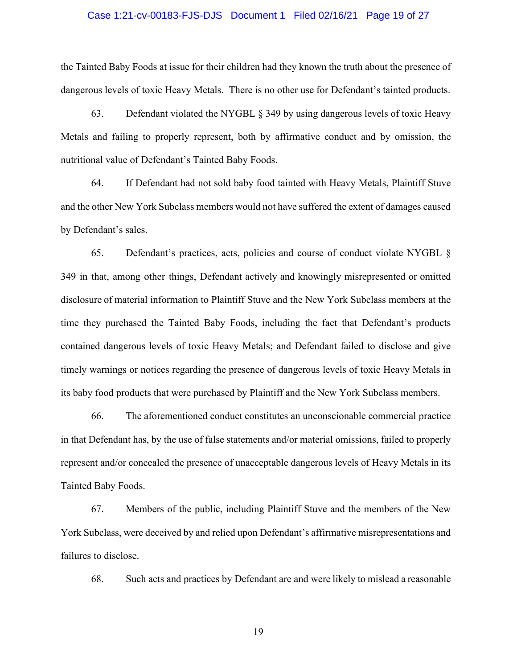#### Case 1:21-cv-00183-FJS-DJS Document 1 Filed 02/16/21 Page 19 of 27

the Tainted Baby Foods at issue for their children had they known the truth about the presence of dangerous levels of toxic Heavy Metals. There is no other use for Defendant's tainted products.

63. Defendant violated the NYGBL § 349 by using dangerous levels of toxic Heavy Metals and failing to properly represent, both by affirmative conduct and by omission, the nutritional value of Defendant's Tainted Baby Foods.

64. If Defendant had not sold baby food tainted with Heavy Metals, Plaintiff Stuve and the other New York Subclass members would not have suffered the extent of damages caused by Defendant's sales.

65. Defendant's practices, acts, policies and course of conduct violate NYGBL § 349 in that, among other things, Defendant actively and knowingly misrepresented or omitted disclosure of material information to Plaintiff Stuve and the New York Subclass members at the time they purchased the Tainted Baby Foods, including the fact that Defendant's products contained dangerous levels of toxic Heavy Metals; and Defendant failed to disclose and give timely warnings or notices regarding the presence of dangerous levels of toxic Heavy Metals in its baby food products that were purchased by Plaintiff and the New York Subclass members.

66. The aforementioned conduct constitutes an unconscionable commercial practice in that Defendant has, by the use of false statements and/or material omissions, failed to properly represent and/or concealed the presence of unacceptable dangerous levels of Heavy Metals in its Tainted Baby Foods.

67. Members of the public, including Plaintiff Stuve and the members of the New York Subclass, were deceived by and relied upon Defendant's affirmative misrepresentations and failures to disclose.

68. Such acts and practices by Defendant are and were likely to mislead a reasonable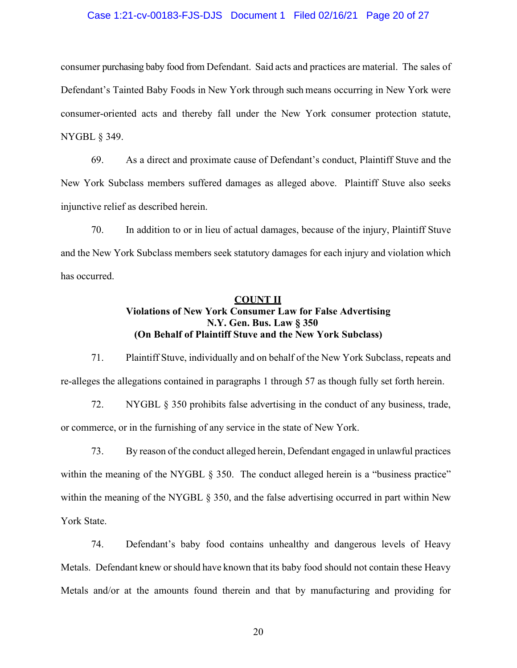## Case 1:21-cv-00183-FJS-DJS Document 1 Filed 02/16/21 Page 20 of 27

consumer purchasing baby food from Defendant. Said acts and practices are material. The sales of Defendant's Tainted Baby Foods in New York through such means occurring in New York were consumer-oriented acts and thereby fall under the New York consumer protection statute, NYGBL § 349.

69. As a direct and proximate cause of Defendant's conduct, Plaintiff Stuve and the New York Subclass members suffered damages as alleged above. Plaintiff Stuve also seeks injunctive relief as described herein.

70. In addition to or in lieu of actual damages, because of the injury, Plaintiff Stuve and the New York Subclass members seek statutory damages for each injury and violation which has occurred.

# **COUNT II Violations of New York Consumer Law for False Advertising N.Y. Gen. Bus. Law § 350 (On Behalf of Plaintiff Stuve and the New York Subclass)**

71. Plaintiff Stuve, individually and on behalf of the New York Subclass, repeats and re-alleges the allegations contained in paragraphs 1 through 57 as though fully set forth herein.

72. NYGBL § 350 prohibits false advertising in the conduct of any business, trade, or commerce, or in the furnishing of any service in the state of New York.

73. By reason of the conduct alleged herein, Defendant engaged in unlawful practices within the meaning of the NYGBL § 350. The conduct alleged herein is a "business practice" within the meaning of the NYGBL § 350, and the false advertising occurred in part within New York State.

74. Defendant's baby food contains unhealthy and dangerous levels of Heavy Metals. Defendant knew orshould have known that its baby food should not contain these Heavy Metals and/or at the amounts found therein and that by manufacturing and providing for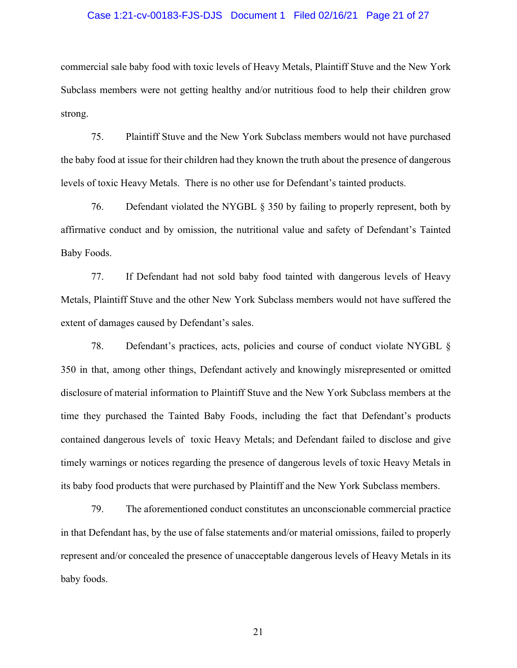#### Case 1:21-cv-00183-FJS-DJS Document 1 Filed 02/16/21 Page 21 of 27

commercial sale baby food with toxic levels of Heavy Metals, Plaintiff Stuve and the New York Subclass members were not getting healthy and/or nutritious food to help their children grow strong.

75. Plaintiff Stuve and the New York Subclass members would not have purchased the baby food at issue for their children had they known the truth about the presence of dangerous levels of toxic Heavy Metals. There is no other use for Defendant's tainted products.

76. Defendant violated the NYGBL § 350 by failing to properly represent, both by affirmative conduct and by omission, the nutritional value and safety of Defendant's Tainted Baby Foods.

77. If Defendant had not sold baby food tainted with dangerous levels of Heavy Metals, Plaintiff Stuve and the other New York Subclass members would not have suffered the extent of damages caused by Defendant's sales.

78. Defendant's practices, acts, policies and course of conduct violate NYGBL § 350 in that, among other things, Defendant actively and knowingly misrepresented or omitted disclosure of material information to Plaintiff Stuve and the New York Subclass members at the time they purchased the Tainted Baby Foods, including the fact that Defendant's products contained dangerous levels of toxic Heavy Metals; and Defendant failed to disclose and give timely warnings or notices regarding the presence of dangerous levels of toxic Heavy Metals in its baby food products that were purchased by Plaintiff and the New York Subclass members.

79. The aforementioned conduct constitutes an unconscionable commercial practice in that Defendant has, by the use of false statements and/or material omissions, failed to properly represent and/or concealed the presence of unacceptable dangerous levels of Heavy Metals in its baby foods.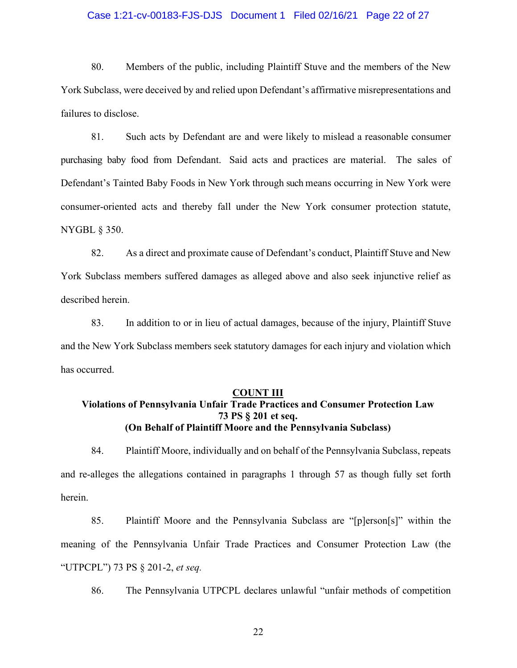## Case 1:21-cv-00183-FJS-DJS Document 1 Filed 02/16/21 Page 22 of 27

80. Members of the public, including Plaintiff Stuve and the members of the New York Subclass, were deceived by and relied upon Defendant's affirmative misrepresentations and failures to disclose.

81. Such acts by Defendant are and were likely to mislead a reasonable consumer purchasing baby food from Defendant. Said acts and practices are material. The sales of Defendant's Tainted Baby Foods in New York through such means occurring in New York were consumer-oriented acts and thereby fall under the New York consumer protection statute, NYGBL § 350.

82. As a direct and proximate cause of Defendant's conduct, Plaintiff Stuve and New York Subclass members suffered damages as alleged above and also seek injunctive relief as described herein.

83. In addition to or in lieu of actual damages, because of the injury, Plaintiff Stuve and the New York Subclass members seek statutory damages for each injury and violation which has occurred.

#### **COUNT III**

# **Violations of Pennsylvania Unfair Trade Practices and Consumer Protection Law 73 PS § 201 et seq. (On Behalf of Plaintiff Moore and the Pennsylvania Subclass)**

84. Plaintiff Moore, individually and on behalf of the Pennsylvania Subclass, repeats and re-alleges the allegations contained in paragraphs 1 through 57 as though fully set forth herein.

85. Plaintiff Moore and the Pennsylvania Subclass are "[p]erson[s]" within the meaning of the Pennsylvania Unfair Trade Practices and Consumer Protection Law (the "UTPCPL") 73 PS § 201-2, *et seq.*

86. The Pennsylvania UTPCPL declares unlawful "unfair methods of competition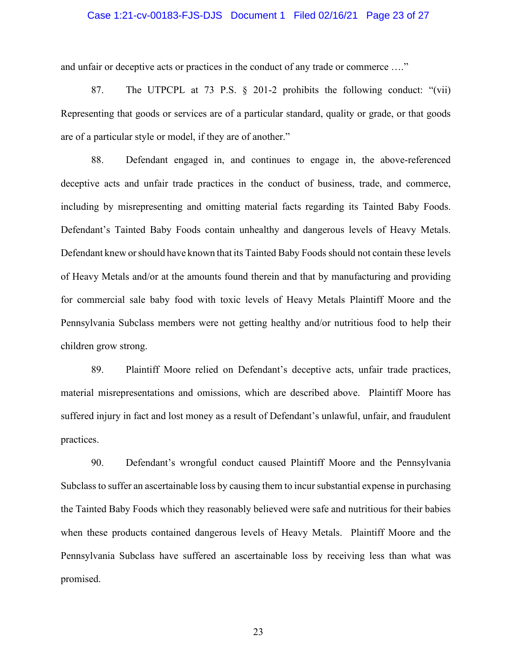### Case 1:21-cv-00183-FJS-DJS Document 1 Filed 02/16/21 Page 23 of 27

and unfair or deceptive acts or practices in the conduct of any trade or commerce …."

87. The UTPCPL at 73 P.S. § 201-2 prohibits the following conduct: "(vii) Representing that goods or services are of a particular standard, quality or grade, or that goods are of a particular style or model, if they are of another."

88. Defendant engaged in, and continues to engage in, the above-referenced deceptive acts and unfair trade practices in the conduct of business, trade, and commerce, including by misrepresenting and omitting material facts regarding its Tainted Baby Foods. Defendant's Tainted Baby Foods contain unhealthy and dangerous levels of Heavy Metals. Defendant knew orshould have known that its Tainted Baby Foods should not contain these levels of Heavy Metals and/or at the amounts found therein and that by manufacturing and providing for commercial sale baby food with toxic levels of Heavy Metals Plaintiff Moore and the Pennsylvania Subclass members were not getting healthy and/or nutritious food to help their children grow strong.

89. Plaintiff Moore relied on Defendant's deceptive acts, unfair trade practices, material misrepresentations and omissions, which are described above. Plaintiff Moore has suffered injury in fact and lost money as a result of Defendant's unlawful, unfair, and fraudulent practices.

90. Defendant's wrongful conduct caused Plaintiff Moore and the Pennsylvania Subclass to suffer an ascertainable loss by causing them to incur substantial expense in purchasing the Tainted Baby Foods which they reasonably believed were safe and nutritious for their babies when these products contained dangerous levels of Heavy Metals. Plaintiff Moore and the Pennsylvania Subclass have suffered an ascertainable loss by receiving less than what was promised.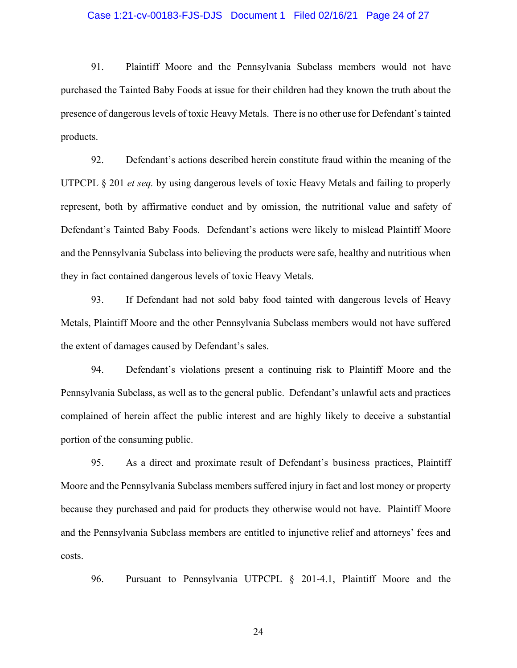#### Case 1:21-cv-00183-FJS-DJS Document 1 Filed 02/16/21 Page 24 of 27

91. Plaintiff Moore and the Pennsylvania Subclass members would not have purchased the Tainted Baby Foods at issue for their children had they known the truth about the presence of dangerous levels of toxic Heavy Metals. There is no other use for Defendant's tainted products.

92. Defendant's actions described herein constitute fraud within the meaning of the UTPCPL § 201 *et seq.* by using dangerous levels of toxic Heavy Metals and failing to properly represent, both by affirmative conduct and by omission, the nutritional value and safety of Defendant's Tainted Baby Foods. Defendant's actions were likely to mislead Plaintiff Moore and the Pennsylvania Subclass into believing the products were safe, healthy and nutritious when they in fact contained dangerous levels of toxic Heavy Metals.

93. If Defendant had not sold baby food tainted with dangerous levels of Heavy Metals, Plaintiff Moore and the other Pennsylvania Subclass members would not have suffered the extent of damages caused by Defendant's sales.

94. Defendant's violations present a continuing risk to Plaintiff Moore and the Pennsylvania Subclass, as well as to the general public. Defendant's unlawful acts and practices complained of herein affect the public interest and are highly likely to deceive a substantial portion of the consuming public.

95. As a direct and proximate result of Defendant's business practices, Plaintiff Moore and the Pennsylvania Subclass members suffered injury in fact and lost money or property because they purchased and paid for products they otherwise would not have. Plaintiff Moore and the Pennsylvania Subclass members are entitled to injunctive relief and attorneys' fees and costs.

96. Pursuant to Pennsylvania UTPCPL § 201-4.1, Plaintiff Moore and the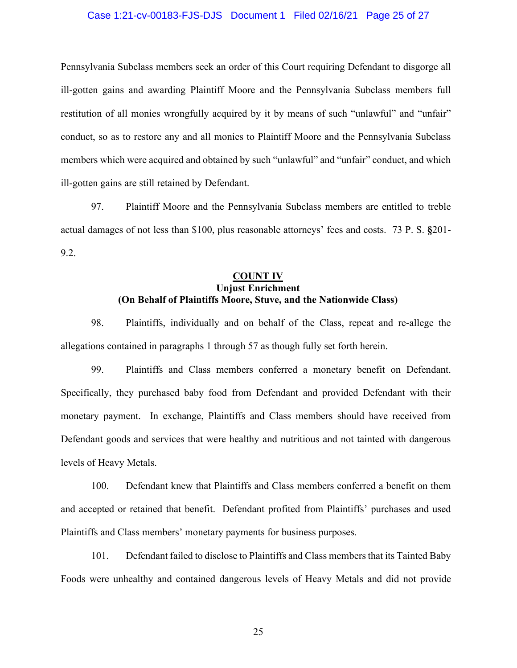## Case 1:21-cv-00183-FJS-DJS Document 1 Filed 02/16/21 Page 25 of 27

Pennsylvania Subclass members seek an order of this Court requiring Defendant to disgorge all ill-gotten gains and awarding Plaintiff Moore and the Pennsylvania Subclass members full restitution of all monies wrongfully acquired by it by means of such "unlawful" and "unfair" conduct, so as to restore any and all monies to Plaintiff Moore and the Pennsylvania Subclass members which were acquired and obtained by such "unlawful" and "unfair" conduct, and which ill-gotten gains are still retained by Defendant.

97. Plaintiff Moore and the Pennsylvania Subclass members are entitled to treble actual damages of not less than \$100, plus reasonable attorneys' fees and costs. 73 P. S. **§**201- 9.2.

# **COUNT IV Unjust Enrichment (On Behalf of Plaintiffs Moore, Stuve, and the Nationwide Class)**

98. Plaintiffs, individually and on behalf of the Class, repeat and re-allege the allegations contained in paragraphs 1 through 57 as though fully set forth herein.

99. Plaintiffs and Class members conferred a monetary benefit on Defendant. Specifically, they purchased baby food from Defendant and provided Defendant with their monetary payment. In exchange, Plaintiffs and Class members should have received from Defendant goods and services that were healthy and nutritious and not tainted with dangerous levels of Heavy Metals.

100. Defendant knew that Plaintiffs and Class members conferred a benefit on them and accepted or retained that benefit. Defendant profited from Plaintiffs' purchases and used Plaintiffs and Class members' monetary payments for business purposes.

101. Defendant failed to disclose to Plaintiffs and Class members that its Tainted Baby Foods were unhealthy and contained dangerous levels of Heavy Metals and did not provide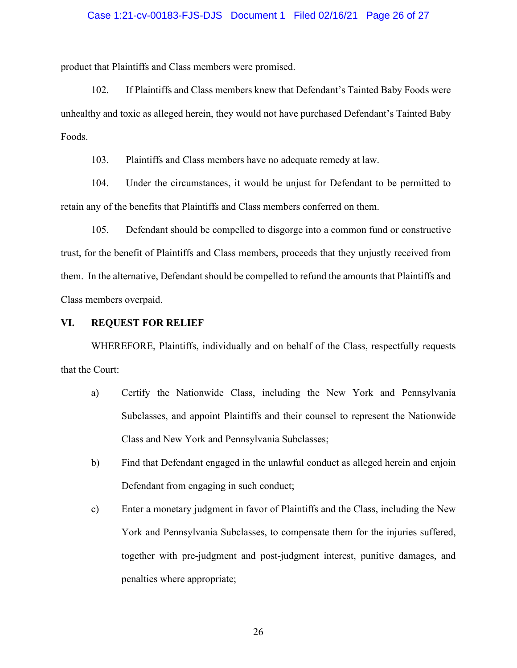#### Case 1:21-cv-00183-FJS-DJS Document 1 Filed 02/16/21 Page 26 of 27

product that Plaintiffs and Class members were promised.

102. If Plaintiffs and Class members knew that Defendant's Tainted Baby Foods were unhealthy and toxic as alleged herein, they would not have purchased Defendant's Tainted Baby Foods.

103. Plaintiffs and Class members have no adequate remedy at law.

104. Under the circumstances, it would be unjust for Defendant to be permitted to retain any of the benefits that Plaintiffs and Class members conferred on them.

105. Defendant should be compelled to disgorge into a common fund or constructive trust, for the benefit of Plaintiffs and Class members, proceeds that they unjustly received from them. In the alternative, Defendant should be compelled to refund the amounts that Plaintiffs and Class members overpaid.

#### **VI. REQUEST FOR RELIEF**

WHEREFORE, Plaintiffs, individually and on behalf of the Class, respectfully requests that the Court:

- a) Certify the Nationwide Class, including the New York and Pennsylvania Subclasses, and appoint Plaintiffs and their counsel to represent the Nationwide Class and New York and Pennsylvania Subclasses;
- b) Find that Defendant engaged in the unlawful conduct as alleged herein and enjoin Defendant from engaging in such conduct;
- c) Enter a monetary judgment in favor of Plaintiffs and the Class, including the New York and Pennsylvania Subclasses, to compensate them for the injuries suffered, together with pre-judgment and post-judgment interest, punitive damages, and penalties where appropriate;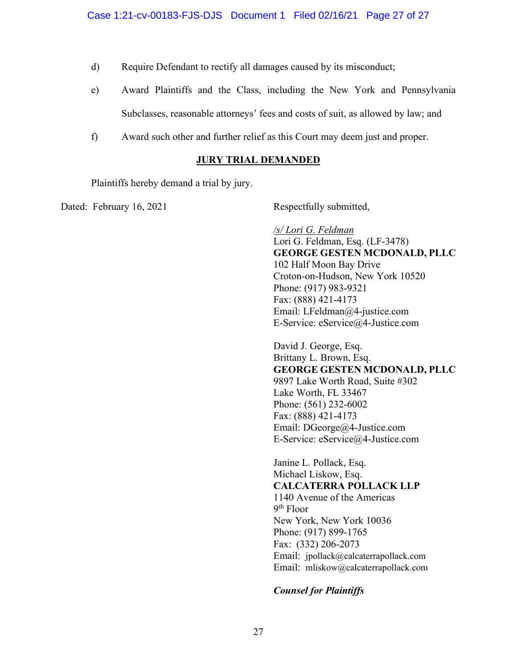- d) Require Defendant to rectify all damages caused by its misconduct;
- e) Award Plaintiffs and the Class, including the New York and Pennsylvania Subclasses, reasonable attorneys' fees and costs of suit, as allowed by law; and
- f) Award such other and further relief as this Court may deem just and proper.

# **JURY TRIAL DEMANDED**

Plaintiffs hereby demand a trial by jury.

Dated: February 16, 2021 Respectfully submitted,

*/s/ Lori G. Feldman* Lori G. Feldman, Esq. (LF-3478) **GEORGE GESTEN MCDONALD, PLLC**  102 Half Moon Bay Drive Croton-on-Hudson, New York 10520 Phone: (917) 983-9321 Fax: (888) 421-4173 Email: LFeldman@4-justice.com E-Service: eService@4-Justice.com

David J. George, Esq. Brittany L. Brown, Esq. **GEORGE GESTEN MCDONALD, PLLC**  9897 Lake Worth Road, Suite #302 Lake Worth, FL 33467 Phone: (561) 232-6002 Fax: (888) 421-4173 Email: DGeorge@4-Justice.com E-Service: eService@4-Justice.com

Janine L. Pollack, Esq. Michael Liskow, Esq. **CALCATERRA POLLACK LLP** 1140 Avenue of the Americas 9th Floor New York, New York 10036 Phone: (917) 899-1765 Fax: (332) 206-2073 Email: jpollack@calcaterrapollack.com Email: mliskow@calcaterrapollack.com

# *Counsel for Plaintiffs*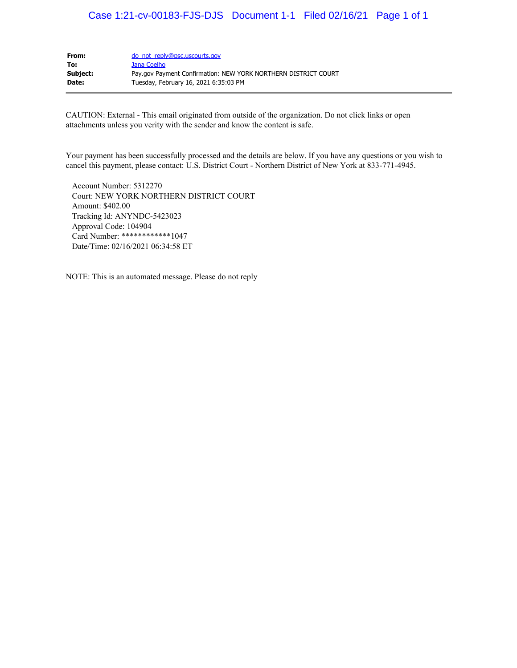# Case 1:21-cv-00183-FJS-DJS Document 1-1 Filed 02/16/21 Page 1 of 1

| do not reply@psc.uscourts.gov                                  |
|----------------------------------------------------------------|
| Jana Coelho                                                    |
| Pay.gov Payment Confirmation: NEW YORK NORTHERN DISTRICT COURT |
| Tuesday, February 16, 2021 6:35:03 PM                          |
|                                                                |

CAUTION: External - This email originated from outside of the organization. Do not click links or open attachments unless you verity with the sender and know the content is safe.

Your payment has been successfully processed and the details are below. If you have any questions or you wish to cancel this payment, please contact: U.S. District Court - Northern District of New York at 833-771-4945.

 Account Number: 5312270 Court: NEW YORK NORTHERN DISTRICT COURT Amount: \$402.00 Tracking Id: ANYNDC-5423023 Approval Code: 104904 Card Number: \*\*\*\*\*\*\*\*\*\*\*\*1047 Date/Time: 02/16/2021 06:34:58 ET

NOTE: This is an automated message. Please do not reply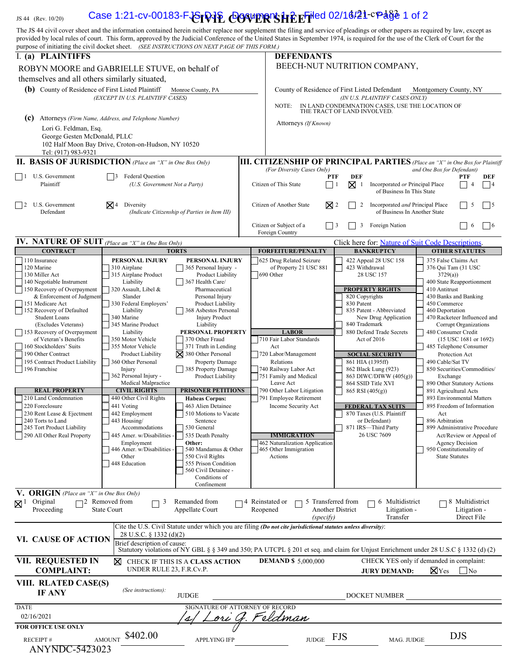# IS 44 (Rev. 10/20) **Case 1:21-cv-00183-FGFDJE COWERTS HE EFILED 02/16/21-cPdge 1 of 2**

| The JS 44 civil cover sheet and the information contained herein neither replace nor supplement the filing and service of pleadings or other papers as required by law, except as<br>provided by local rules of court. This form, approved by the Judicial Conference of the United States in September 1974, is required for the use of the Clerk of Court for the |                                                                           |                                                                                                                                      |                               |                                                                                            |                                                                                     |                                                                            |                                                                        |                                                         |                                                       |             |  |
|---------------------------------------------------------------------------------------------------------------------------------------------------------------------------------------------------------------------------------------------------------------------------------------------------------------------------------------------------------------------|---------------------------------------------------------------------------|--------------------------------------------------------------------------------------------------------------------------------------|-------------------------------|--------------------------------------------------------------------------------------------|-------------------------------------------------------------------------------------|----------------------------------------------------------------------------|------------------------------------------------------------------------|---------------------------------------------------------|-------------------------------------------------------|-------------|--|
| purpose of initiating the civil docket sheet. (SEE INSTRUCTIONS ON NEXT PAGE OF THIS FORM.)<br>I. (a) PLAINTIFFS                                                                                                                                                                                                                                                    |                                                                           |                                                                                                                                      |                               | <b>DEFENDANTS</b>                                                                          |                                                                                     |                                                                            |                                                                        |                                                         |                                                       |             |  |
| ROBYN MOORE and GABRIELLE STUVE, on behalf of                                                                                                                                                                                                                                                                                                                       |                                                                           |                                                                                                                                      |                               | BEECH-NUT NUTRITION COMPANY,                                                               |                                                                                     |                                                                            |                                                                        |                                                         |                                                       |             |  |
| themselves and all others similarly situated,<br>(b) County of Residence of First Listed Plaintiff<br>Monroe County, PA                                                                                                                                                                                                                                             |                                                                           |                                                                                                                                      |                               | County of Residence of First Listed Defendant<br>Montgomery County, NY                     |                                                                                     |                                                                            |                                                                        |                                                         |                                                       |             |  |
| (EXCEPT IN U.S. PLAINTIFF CASES)                                                                                                                                                                                                                                                                                                                                    |                                                                           |                                                                                                                                      |                               | (IN U.S. PLAINTIFF CASES ONLY)<br>IN LAND CONDEMNATION CASES, USE THE LOCATION OF<br>NOTE: |                                                                                     |                                                                            |                                                                        |                                                         |                                                       |             |  |
| (c)<br>Attorneys (Firm Name, Address, and Telephone Number)                                                                                                                                                                                                                                                                                                         |                                                                           |                                                                                                                                      |                               | THE TRACT OF LAND INVOLVED.<br>Attorneys (If Known)                                        |                                                                                     |                                                                            |                                                                        |                                                         |                                                       |             |  |
| Lori G. Feldman, Esq.                                                                                                                                                                                                                                                                                                                                               |                                                                           |                                                                                                                                      |                               |                                                                                            |                                                                                     |                                                                            |                                                                        |                                                         |                                                       |             |  |
| George Gesten McDonald, PLLC<br>Tel: (917) 983-9321                                                                                                                                                                                                                                                                                                                 | 102 Half Moon Bay Drive, Croton-on-Hudson, NY 10520                       |                                                                                                                                      |                               |                                                                                            |                                                                                     |                                                                            |                                                                        |                                                         |                                                       |             |  |
| <b>II. BASIS OF JURISDICTION</b> (Place an "X" in One Box Only)                                                                                                                                                                                                                                                                                                     |                                                                           |                                                                                                                                      |                               | <b>III. CITIZENSHIP OF PRINCIPAL PARTIES</b> (Place an "X" in One Box for Plaintiff        |                                                                                     |                                                                            |                                                                        |                                                         |                                                       |             |  |
| $\vert$ $\vert$ 1 U.S. Government<br>  3 Federal Question                                                                                                                                                                                                                                                                                                           |                                                                           |                                                                                                                                      |                               | (For Diversity Cases Only)                                                                 | <b>PTF</b>                                                                          | <b>DEF</b>                                                                 |                                                                        | and One Box for Defendant)                              | PTF                                                   | DEF         |  |
| Plaintiff                                                                                                                                                                                                                                                                                                                                                           | (U.S. Government Not a Party)                                             |                                                                                                                                      |                               | Citizen of This State                                                                      | $\boxtimes$ 1<br>Incorporated or Principal Place<br>-1<br>of Business In This State |                                                                            |                                                                        |                                                         |                                                       | 4           |  |
| U.S. Government<br>$\vert$ 2<br>Defendant                                                                                                                                                                                                                                                                                                                           | $\mathsf{X}$ 4 Diversity<br>(Indicate Citizenship of Parties in Item III) |                                                                                                                                      |                               | Citizen of Another State                                                                   | $\mathbb{X}$ 2                                                                      | Incorporated and Principal Place<br>5<br>2<br>of Business In Another State |                                                                        |                                                         |                                                       | $\vert$ 5   |  |
|                                                                                                                                                                                                                                                                                                                                                                     |                                                                           |                                                                                                                                      |                               | Citizen or Subject of a<br>Foreign Country                                                 | $ $   3                                                                             | 3                                                                          | Foreign Nation                                                         |                                                         | 6                                                     | $\vert$   6 |  |
| IV. NATURE OF SUIT (Place an "X" in One Box Only)<br><b>CONTRACT</b>                                                                                                                                                                                                                                                                                                |                                                                           | <b>TORTS</b>                                                                                                                         |                               | <b>FORFEITURE/PENALTY</b>                                                                  |                                                                                     |                                                                            | Click here for: Nature of Suit Code Descriptions.<br><b>BANKRUPTCY</b> |                                                         | <b>OTHER STATUTES</b>                                 |             |  |
| 110 Insurance                                                                                                                                                                                                                                                                                                                                                       | PERSONAL INJURY                                                           | PERSONAL INJURY                                                                                                                      |                               | 625 Drug Related Seizure                                                                   |                                                                                     |                                                                            | 422 Appeal 28 USC 158                                                  | 375 False Claims Act                                    |                                                       |             |  |
| 120 Marine<br>130 Miller Act                                                                                                                                                                                                                                                                                                                                        | 310 Airplane<br>315 Airplane Product                                      | 365 Personal Injury -<br>Product Liability                                                                                           |                               | of Property 21 USC 881<br>690 Other                                                        |                                                                                     | 423 Withdrawal<br>28 USC 157                                               |                                                                        | 376 Qui Tam (31 USC<br>3729(a)                          |                                                       |             |  |
| 140 Negotiable Instrument                                                                                                                                                                                                                                                                                                                                           | Liability                                                                 | 367 Health Care/                                                                                                                     |                               |                                                                                            |                                                                                     |                                                                            |                                                                        | 400 State Reapportionment                               |                                                       |             |  |
| 150 Recovery of Overpayment<br>& Enforcement of Judgment                                                                                                                                                                                                                                                                                                            | 320 Assault, Libel &<br>Slander                                           | Pharmaceutical<br>Personal Injury                                                                                                    |                               |                                                                                            |                                                                                     |                                                                            | <b>PROPERTY RIGHTS</b><br>820 Copyrights                               | 410 Antitrust<br>430 Banks and Banking                  |                                                       |             |  |
| 151 Medicare Act<br>152 Recovery of Defaulted                                                                                                                                                                                                                                                                                                                       | 330 Federal Employers'<br>Liability                                       | <b>Product Liability</b><br>368 Asbestos Personal                                                                                    |                               |                                                                                            |                                                                                     |                                                                            | 830 Patent<br>835 Patent - Abbreviated                                 |                                                         | 450 Commerce<br>460 Deportation                       |             |  |
| <b>Student Loans</b>                                                                                                                                                                                                                                                                                                                                                | 340 Marine                                                                | <b>Injury Product</b>                                                                                                                |                               |                                                                                            |                                                                                     |                                                                            | New Drug Application                                                   | 470 Racketeer Influenced and                            |                                                       |             |  |
| (Excludes Veterans)<br>153 Recovery of Overpayment                                                                                                                                                                                                                                                                                                                  | 345 Marine Product<br>Liability                                           | Liability<br>PERSONAL PROPERTY                                                                                                       |                               | <b>LABOR</b>                                                                               |                                                                                     | 840 Trademark                                                              | 880 Defend Trade Secrets                                               | Corrupt Organizations<br>480 Consumer Credit            |                                                       |             |  |
| of Veteran's Benefits<br>160 Stockholders' Suits                                                                                                                                                                                                                                                                                                                    | 350 Motor Vehicle<br>355 Motor Vehicle                                    | 370 Other Fraud                                                                                                                      |                               | 710 Fair Labor Standards                                                                   |                                                                                     |                                                                            | Act of 2016<br>$(15$ USC $1681$ or $1692)$<br>485 Telephone Consumer   |                                                         |                                                       |             |  |
| 190 Other Contract                                                                                                                                                                                                                                                                                                                                                  | <b>Product Liability</b>                                                  | 371 Truth in Lending<br>$\boxtimes$ 380 Other Personal                                                                               |                               | Act<br>720 Labor/Management                                                                |                                                                                     |                                                                            | <b>SOCIAL SECURITY</b>                                                 |                                                         | Protection Act                                        |             |  |
| 195 Contract Product Liability<br>196 Franchise                                                                                                                                                                                                                                                                                                                     | 360 Other Personal<br>Injury                                              | <b>Property Damage</b><br>385 Property Damage                                                                                        |                               | Relations<br>740 Railway Labor Act                                                         |                                                                                     |                                                                            | 861 HIA (1395ff)<br>862 Black Lung (923)                               | 490 Cable/Sat TV<br>850 Securities/Commodities/         |                                                       |             |  |
|                                                                                                                                                                                                                                                                                                                                                                     | 362 Personal Injury -                                                     | Product Liability                                                                                                                    |                               | 751 Family and Medical                                                                     |                                                                                     |                                                                            | 863 DIWC/DIWW (405(g))                                                 | Exchange                                                |                                                       |             |  |
| <b>REAL PROPERTY</b>                                                                                                                                                                                                                                                                                                                                                | Medical Malpractice<br><b>CIVIL RIGHTS</b>                                | <b>PRISONER PETITIONS</b>                                                                                                            |                               | Leave Act<br>790 Other Labor Litigation                                                    |                                                                                     |                                                                            | 864 SSID Title XVI<br>$865$ RSI $(405(g))$                             | 890 Other Statutory Actions<br>891 Agricultural Acts    |                                                       |             |  |
| 210 Land Condemnation<br>220 Foreclosure                                                                                                                                                                                                                                                                                                                            | 440 Other Civil Rights                                                    | <b>Habeas Corpus:</b><br>463 Alien Detainee                                                                                          |                               | 791 Employee Retirement                                                                    |                                                                                     |                                                                            |                                                                        | 893 Environmental Matters<br>895 Freedom of Information |                                                       |             |  |
| 230 Rent Lease & Ejectment                                                                                                                                                                                                                                                                                                                                          | 441 Voting<br>442 Employment                                              | 510 Motions to Vacate                                                                                                                |                               | Income Security Act                                                                        |                                                                                     |                                                                            | <b>FEDERAL TAX SUITS</b><br>870 Taxes (U.S. Plaintiff                  | Act                                                     |                                                       |             |  |
| 240 Torts to Land<br>245 Tort Product Liability                                                                                                                                                                                                                                                                                                                     | 443 Housing/<br>Accommodations                                            | Sentence<br>530 General                                                                                                              |                               |                                                                                            |                                                                                     |                                                                            | or Defendant)<br>871 IRS-Third Party                                   | 896 Arbitration<br>899 Administrative Procedure         |                                                       |             |  |
| 290 All Other Real Property                                                                                                                                                                                                                                                                                                                                         | 445 Amer. w/Disabilities -                                                | 535 Death Penalty                                                                                                                    |                               | <b>IMMIGRATION</b>                                                                         |                                                                                     |                                                                            | 26 USC 7609                                                            |                                                         | Act/Review or Appeal of                               |             |  |
|                                                                                                                                                                                                                                                                                                                                                                     | Employment<br>446 Amer. w/Disabilities -                                  | Other:<br>540 Mandamus & Other                                                                                                       |                               | 462 Naturalization Application<br>465 Other Immigration                                    |                                                                                     |                                                                            |                                                                        | 950 Constitutionality of                                | Agency Decision                                       |             |  |
|                                                                                                                                                                                                                                                                                                                                                                     | Other<br>448 Education                                                    | 550 Civil Rights<br>555 Prison Condition                                                                                             |                               | Actions                                                                                    |                                                                                     |                                                                            |                                                                        | <b>State Statutes</b>                                   |                                                       |             |  |
|                                                                                                                                                                                                                                                                                                                                                                     |                                                                           | 560 Civil Detainee -                                                                                                                 |                               |                                                                                            |                                                                                     |                                                                            |                                                                        |                                                         |                                                       |             |  |
|                                                                                                                                                                                                                                                                                                                                                                     |                                                                           | Conditions of<br>Confinement                                                                                                         |                               |                                                                                            |                                                                                     |                                                                            |                                                                        |                                                         |                                                       |             |  |
| <b>V. ORIGIN</b> (Place an "X" in One Box Only)                                                                                                                                                                                                                                                                                                                     |                                                                           |                                                                                                                                      |                               |                                                                                            |                                                                                     |                                                                            |                                                                        |                                                         |                                                       |             |  |
| $\boxtimes$ <sup>1</sup> Original<br>Proceeding                                                                                                                                                                                                                                                                                                                     | 72 Removed from<br>3<br><b>State Court</b>                                | Remanded from<br>Appellate Court                                                                                                     | □ 4 Reinstated or<br>Reopened |                                                                                            | 5 Transferred from<br>Another District<br>(specify)                                 |                                                                            | 6 Multidistrict<br>Litigation -<br>Transfer                            |                                                         | $\Box$ 8 Multidistrict<br>Litigation -<br>Direct File |             |  |
|                                                                                                                                                                                                                                                                                                                                                                     |                                                                           | Cite the U.S. Civil Statute under which you are filing (Do not cite jurisdictional statutes unless diversity):                       |                               |                                                                                            |                                                                                     |                                                                            |                                                                        |                                                         |                                                       |             |  |
| VI. CAUSE OF ACTION                                                                                                                                                                                                                                                                                                                                                 | 28 U.S.C. § 1332 (d)(2)<br>Brief description of cause:                    | Statutory violations of NY GBL § § 349 and 350; PA UTCPL § 201 et seq. and claim for Unjust Enrichment under 28 U.S.C § 1332 (d) (2) |                               |                                                                                            |                                                                                     |                                                                            |                                                                        |                                                         |                                                       |             |  |
| <b>VII. REQUESTED IN</b><br><b>COMPLAINT:</b>                                                                                                                                                                                                                                                                                                                       | ⋈<br>UNDER RULE 23, F.R.Cv.P.                                             | CHECK IF THIS IS A CLASS ACTION                                                                                                      |                               | <b>DEMAND \$ 5,000,000</b>                                                                 |                                                                                     |                                                                            | CHECK YES only if demanded in complaint:<br><b>JURY DEMAND:</b>        | $\boxtimes$ Yes                                         | $\overline{\rm No}$                                   |             |  |
| VIII. RLATED CASE(S)<br><b>IF ANY</b>                                                                                                                                                                                                                                                                                                                               | (See instructions):                                                       | <b>JUDGE</b>                                                                                                                         |                               |                                                                                            |                                                                                     |                                                                            | DOCKET NUMBER                                                          |                                                         |                                                       |             |  |
| <b>DATE</b>                                                                                                                                                                                                                                                                                                                                                         |                                                                           | SIGNATURE OF ATTORNEY OF RECORD                                                                                                      |                               |                                                                                            |                                                                                     |                                                                            |                                                                        |                                                         |                                                       |             |  |
| 02/16/2021<br>FOR OFFICE USE ONLY                                                                                                                                                                                                                                                                                                                                   |                                                                           | ori                                                                                                                                  |                               | 'eldman                                                                                    |                                                                                     |                                                                            |                                                                        |                                                         |                                                       |             |  |
| <b>RECEIPT#</b><br>ANYNDC-5423023                                                                                                                                                                                                                                                                                                                                   | \$402.00<br><b>AMOUNT</b>                                                 | <b>APPLYING IFP</b>                                                                                                                  |                               | <b>JUDGE</b>                                                                               | <b>FJS</b>                                                                          |                                                                            | MAG. JUDGE                                                             |                                                         | <b>DJS</b>                                            |             |  |